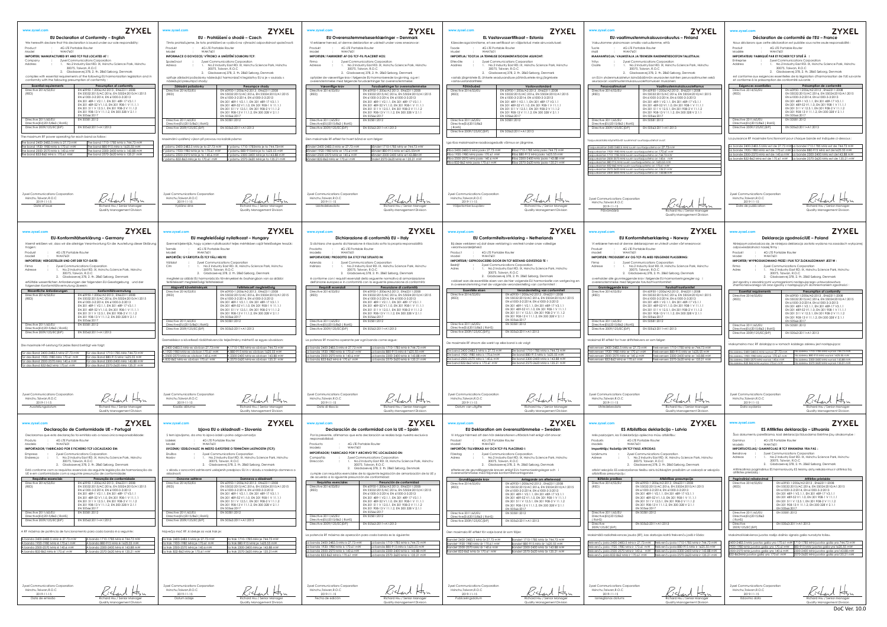**ZYXEL EU-vaatimustenmukaisuusvakuutus – Finland Déclaration de conformité de l'EU – France** Nous dé clarons que cette déclaration est publié e sous notre seule responsabilité : Produit : [4G LTE Portable Router](#page-0-0)<br>Modèle : WAH7601<br>**IMPORTATEUR/ FABRIQUÉ PAR ET FICHIER TCF SITUÉ À :**<br>Entreprise : Zyxel Communications Corporation **MAAHANDOSTON TALLETTAJA:** <sub>on</sub><br>chu Science Park, Hsinchu Address **:** 1. No.2 Industry East RD. IX, Hsinchu Science Park, Hsinchu 30075, Taiwan, R.O.C 2. Gladsaxevej 378, 2. th. 2860 Sø borg, Denmark .<br>Søborg, Denmark on EU:n yhdenmukaistetun lainsä ä dä nnö n seuraavien kohtien perusvaatimusten sekä est conforme aux exigences essentielles de la législation d'harmonisation de l'UE suivante et conforme à la présomption de conformité suivante : Exigence state<br>
EVA (0950-12006/A2:2013, EN2/311:2008<br>
(Five 2014/53/EU<br>
(FN 60950-12006/A2:2015, EN2/311:2008<br>
(FN 61000-3-2:2014, EN 61000-3-2:013<br>
(FN 301489-52 V.1.1, EN 301489-17 V3.1.1, 1<br>
(FN 301489-52 V.1.1), EN 3 Directive 2014/53/EU (RED) Directive 2011/65/EU Directive(EU)2015/863 ( RoHS) Directive 2009/125/EC(ErP) [EN 50563:2011+A1:2013](#page-0-4) La puissance RF maximale fonctionnant pour chaque bande est indiqué e ci-dessous : La bande 2400-2483.5 MHz est de 27.73 mW La bande1710-1785 MHz est de 744.73 mW a bande 1920-1980 MHz est de 170.61 mW La bande 880a bande 2500-2570 MHz est de 140.6 mV La bande 832-862 MHz est de 170.61 mW La bande 2570-2620 MHz est de 135.21 mW Zyxel Communications Corporation<br>
Hsinchu,Taiwan,R.O.C<br>
Date de publication<br>
Date de publication Quality Management Division **ZYXEL ZYXEL www.zyxel.com Deklaracja zgodnościUE – Poland EU Konformitetserklæ ring – Norway** Vi erklæ rer herved at denne deklarasjonen er utstedt under vå rt eneansvar: Niniejszym zaświadcza się, że niniejsza deklaracja została wydana na zasadach wyłącznej<br>odpowiedzialności naszej firmy :<br>Produkt : [4G LTE Portable Router](#page-0-0)<br>Model : WAH7601 **PLASSERING: IMPORTER/ WYPRODUKOWANO PRZEZ I PLIK TCF ZLOKALIZOWANY JEST W :** *;*<br>chu Science Park, Hsinchu Firma **:** Zyxel Communications Corporation Adres **:** 1. No.2 Industry East RD. IX, Hsinchu Science Park, Hsinchu 30075, Taiwan, R.O.C 2. Gladsaxevej 378, 2. th. 2860 Sø borg, Denmark øborg, Denmark over<br>Moniseringsregler og i jest zgodny z zasadniczymi wymaganiami następującego ustawodawstwa zharmonizowanego UE oraz zgodny z następującym domniemaniem zgodności: **Esenfiel equipments**<br> **EN 60950-1:2006/A2:2013, EN62311:2008**<br>
(Private 2014/53/EU<br>
(Private 2014/53/EU<br>
(Private 2015)<br>
(Private 2013)<br>
(Private 2019)<br>
(Private 2019)<br>
(Private 2019)<br>
(Private 2019)<br>
(Private 2019)<br>
(Pri Directive 2014/53/EU (RED) Directive 2011 Directive(EU)2015/863 ( RoHS) Directive 2009/125/EC(ErP) [EN 50563:2011+A1:2013](#page-0-4) Maksymalna moc RF działająca w ramach każdego zakresu jest następująca: Dla zakresu 2400-2483.5 MHz wynosi 27.73 mW Dla zakresu 1710-1785 MHz wynosi 744.73 mW 1300-2400 MHz er 143.88 mW zakresu 880 2570-2620 MHz er 135.21 mW Dla zakresu 2500-2570 MHz wynosi 140.6 mW Dla zakresu 2300-2400 MHz wynosi 143.88 mW Dla zakresu 832-862 MHz wynosi 170.61 mW Dla zakresu 2570-2620 MHz wynosi 135.21 mW Echard Han Richard Har Zyxel Communications Corporation<br>
Hsinchu,Taiwan,R.O.C<br>
Data wydania Richard Hsu / Senior Manager<br>
Richard Hsu / Senior Manager Quality Management Division **ZYXEL ZYXEL www.zyxel.comES Atbilstības deklarācija – Latvia ES Atitikties deklaracija – Lithuania** Šiuo dokumentu pareiškiama, kad deklaracija išduodama išskirtine jūsų atsakomybe: Gaminys : [4G LTE Portable Router](#page-0-0)<br>Modelis : WAH7601 Modelis : [WAH7601](#page-0-1)  **IMPORTUOTOJAS/ GAMINTOJAS IR TCF RINKMENA YRA PAS**: ration<br><del>I</del>sinchu Science Park, Hsinchu Bendrove : Zyxel Communications Corporation<br>Adresas : 1. No.2 Industry East RD. IX, Hsinchu Science Park, Hsinchu<br>30075, Taiwan, R.O.C<br>2. Gladsaxevej 378, 2. th. 2860 Søborg, Denmark en<br>20 Søborg, Denmark .<br>Atitinka pagrindinius ES harmonizuotų ES teisinių aktų reikalavimus ir atitinka šią atbilst sekonomiskaņā ar sekojošo Espanas tiesībām un saskaņā ar sekojošo Atitinkatinka pagrin<br>atitikties prielaidą: **Būtiskās prasības Atbilstības prezumpcija Pagrindiniai reikalavimai | Atitikties prielaida | Atitikties prielaida | Atitikties prielaida | 0166211:2008<br>Directive 2014/53/EU | EN 60950-1:2006/A2:2013 , EN 55024:2010/A1:2015<br>| [EN 61000-3-2:2014, EN 61000-3-3:2013](#page-0-2) |** Directive 2014/53/EU (RED) [EN 301 489-1 V2.1.1, EN 301 489-17 V3.1.1](#page-0-2) [EN 301 489-52 V1.1.0, EN 301 908-1 V 11.1.1](#page-0-2)  [EN 301 511 V 12.5.1, EN 301 908-2 V 11.1.2](#page-0-2) EN 301 908-13 V [11.1.2, EN 300 328](#page-0-2) V 2.1.1 [EN 50566:2017](#page-0-2) [EN 50581:2012](#page-0-3)  Directive 2011/65/EU Directive(EU)2015/863 ( RoHS) [EN 50563:2011+A1:2013](#page-0-4) Directive 2009/125/EC(ErP) frekvenču joslā ir šāda: Maksimali kiekvienos juostos radijo dažnio signalo galia nurodyta toliau. 2400-2483.5 MHz juostos galia yra 170.61 mW 1710-1785 MHz juostos galia yra 7 1980 MHz juostos galia yra 170.61mW 880-915 MHz juostos galia yra 16 2500-2570 MHz juostos galia yra 140.6 mW 2300-2400 MHz juostos galia yra143.88 mW 832-862MHz juostos galia yra 170.61 mW 2570-2620 MHz juostos galia yra135.21 mW Zyxel Communications Corporation Hsinchu,Taiwan,R.O.C [2019-11-15](#page-0-5)<br>Edavimo data Išdavimo data Richard Hsu / Senior Manager Quality Management Division Quality Management Division DoC Ver. 10.0

<span id="page-0-5"></span><span id="page-0-4"></span><span id="page-0-3"></span><span id="page-0-2"></span><span id="page-0-1"></span><span id="page-0-0"></span>

| <b>ZYXEL</b><br>www.zyxel.com<br><b>EU Declaration of Conformity - Enalish</b><br>We herewith declare that this declaration is issued under our sole responsibility:<br>Product<br>4G LTE Portable Router<br><b>CONTRACTOR</b><br>Model<br>WAH7601<br>IMPORTER/ MANUFACTURED BY AND TCF FILE LOCATED AT :<br>Zyxel Communications Corporation<br>Company<br>$-1$<br>Address<br>No.2 Industry East RD. IX, Hsinchu Science Park, Hsinchu<br>30075, Taiwan, R.O.C<br>2. Gladsaxevej 378, 2. th. 2860 Søborg, Denmark<br>complies with essential requirements of the following EU harmonization legislation and in<br>conformity with the following presumption of conformity<br>Presumption of conformity<br><b>Essential requirements</b><br>Directive 2014/53/EU<br>EN 60950-1:2006/A2:2013, EN62311:2008<br>EN 55032:2015/AC:2016. EN 55024:2010/A1:2015<br>(RED)<br>EN 61000-3-2:2014. EN 61000-3-3:2013<br>EN 301 489-1 V2.1.1, EN 301 489-17 V3.1.1<br>EN 301 489-52 V1.1.0, EN 301 908-1 V 11.1.1<br>EN 301 511 V 12.5.1, EN 301 908-2 V 11.1.2<br>EN 301 908-13 V 11.1.2, EN 300 328 V 2.1.1<br>EN 50566:2017<br>Directive 2011/65/EU<br>EN 50581:2012<br>Directive(EU)2015/863 ( RoHS<br>EN 50563:2011+A1:2013<br>Directive 2009/125/EC (ErP)<br>The maximum RF power operating for each band as follow<br>The band 2400-2483.5 MHz is 27.73 mW<br>The band 1710-1785 MHz is 744.73 mW<br>e band 1920-1980 MHz is 170.61 mW<br>he band 880-915 MHz is 1625.55 mW<br>he band 2500-2570 MHz is 140.6 mW<br>he band 2300-2400 MHz is 143.88 mW<br>The band 832-862 MHz is 170.61 mW<br>The band 2570-2620 MHz is 135.21 mW | <b>ZYXEL</b><br>www.zyxel.com<br>EU - Prohlášení o shodě – Czech<br>Tímto prohlašujeme, že toto prohlášení se vydává na výhradní odpovědnost společnosti:<br>Produkt<br>4G LTE Portable Router<br>WAH7601<br>Model<br>INFORMACE O DOVOZCE/ VÝROBCI A UMÍSTĚNÍ SOUBORU TCF:<br>Zyxel Communications Corporation<br>Společnost<br>1. No.2 Industry East RD. IX, Hsinchu Science Park, Hsinchu<br>Adresa<br>30075, Taiwan, R.O.C<br>2. Gladsaxevej 378, 2. th. 2860 Søborg, Denmark<br>splňuje základní požadavky následující harmonizační legislativy EU a je v souladu s<br>následující presumpcí shody<br>Základní požadavky<br>Presumpce shody<br>Directive 2014/53/EU<br>EN 60950-1:2006/A2:2013, EN62311:200<br>EN 55032:2015/AC:2016, EN 55024:2010/A1:2015<br>(RED)<br>EN 61000-3-2:2014, EN 61000-3-3:2013<br>FN 301 489-1 V2 1 1, FN 301 489-17 V3 1<br>EN 301 489-52 V1.1.0, EN 301 908-1 V 11.1.1<br>EN 301 511 V 12.5.1, EN 301 908-2 V 11.1.2<br>EN 301 908-13 V 11.1.2, EN 300 328 V 2.1.1<br>FN 50566:2017<br>Directive 2011/65/EU<br>EN 50581:2012<br>Directive/FU12015/863 / RoH:<br>Directive 2009/125/EC (ErP)<br>EN 50563:2011+A1:2013<br>Maximální vyzářený výkon při provozu na každé pásmo:<br>ásmu 2400-2483.5 MHz je to 27.73 mW V pásmu 1710-1785MHz je to 744.73mW<br>pásmu 1920-1980 MHz je to 170.61 mW V pásmu 880-915MHz je to 1625.55 mW<br>ásmu 2500-2570 MHz je to 140.6 mW V<br>pásmu 2300-2400 MHz je to 143.88 mW<br>ásmu 832-862 MHz je to 170.61 mW<br>V pásmu 2570-2620 MHz je to 135.21 mW | <b>ZYXEL</b><br>www.zyxel.com<br>EU Overensstemmelseserklæringer - Denmark<br>Vi erklærer herved, at denne deklaration er udstedt under vores eneansvar:<br>Produkt<br>4G LTE Portable Router<br>Model<br>WAH7601<br>IMPORTØR/ FABRIKERET AF OG TCF-FIL PLACERET HOS:<br>Zyxel Communications Corporation<br>Firma<br>1. No.2 Industry East RD. IX, Hsinchu Science Park, Hsinchu<br>Adresse<br>30075, Taiwan, R.O.C<br>2. Gladsaxevej 378, 2. th. 2860 Søborg, Denmark<br>opfylder de væsentlige krav i følgende EU-harmoniserede lovgivning, og er i<br>overenstemmelse med følgende forudsætninger for overensstemmelse:<br>Forudsætninger for overensstemmelse<br>Væsentlige krav<br>Directive 2014/53/EU<br>EN 60950-1:2006/A2:2013, EN62311:2008<br>EN 55032:2015/AC:2016, EN 55024:2010/A1:2015<br>(RED)<br>EN 61000-3-2:2014, EN 61000-3-3:2013<br>EN 301 489-1 V2.1.1, EN 301 489-17 V3.1.1<br>EN 301 489-52 V1.1.0. EN 301 908-1 V 11.1.1<br>EN 301 511 V 12.5.1, EN 301 908-2 V 11.1.2<br>EN 301 908-13 V 11.1.2, EN 300 328 V 2.1.1<br>FN 50566:2017<br>Directive 2011/65/EU<br>EN 50581:2012<br>Directive(EU12015/863 / RoHS<br>Directive 2009/125/EC (ErP)<br>EN 50563:2011+A1:2013<br>Den maksimale RF-effekt for hvert bånd er som følger:<br>ndet 2400-2483.5 MHz er 27.73 mW<br>Båndet 1710-1785 MHz er 744.73 mW<br>ndet 1920-1980 MHz er 170 61mW<br>3åndet 880-915 MHz er1625 55mW<br>indet 2500-2570 MHz er 140.6 mW<br>3åndet 2300-2400 MHz er1 43.88mW<br>ndet 832-862 MHz er 170.61 mW<br>åndet 2570-2620 MHz er 135.21 mW                                                                                    | <b>ZYXEL</b><br>www.zyxel.com<br>EL Vastavussertifikaat – Estonia<br>Käesolevaga kinnitame, et see sertifikaat on väljastatud meie ainuvastutusel:<br>Toode<br>4G LTE Portable Router<br>Mudel<br><b>WAH7601</b><br>IMPORTIJA/ TOOTJA JA TEHNILISE DOKUMENTATSIOONI ASUKOHT:<br>Zyxel Communications Corporation<br>Ettevõte<br>1. No.2 Industry East RD. IX, Hsinchu Science Park, Hsinchu<br>Aadress<br>30075, Taiwan, R.O.C<br>2. Gladsaxevej 378, 2. th. 2860 Søborg, Denmark<br>vastab järgmistele EL ühtsete seadusandluse põhinõuetele ning järgmisele<br>vastavusstandartitele<br>Põhinõuded<br>Vastavusstandard<br>EN 60950-1:2006/A2:2013 . EN62311:2008<br>Directive 2014/53/EU<br>EN 55032:2015/AC:2016, EN 55024:2010/A1:2015<br>(RED)<br>EN 61000-3-2:2014, EN 61000-3-3:2013<br>EN 301 489-1 V2.1.1, EN 301 489-17 V3.1.1<br>EN 301 489-52 V1.1.0, EN 301 908-1 V 11.1.1<br>EN 301 511 V 12.5.1, EN 301 908-2 V 11.1.2<br>EN 301 908-13 V 11.1.2, EN 300 328 V 2.1.1<br>FN 50566:2017<br>Directive 2011/65/EU<br>EN 50581:2012<br>Directive(EU)2015/863<br>(RoHS)<br>Directive 2009/125/EC (ErP)<br>EN 50563:2011+A1:2013<br>Iga riba maksimaalne raadiosageduslik võimsus on järgmine.<br>iba 2400-2483.5 MHz jaoks 27.73 mW<br>iba1710-1785 MHz jaoks 744.73 mW<br>tiba 880-915 MHz jaoks 1625.55 mW<br>iba 1920-1980 MHz jaoks 170.61 mW<br>ba 2500-2570 MHz jaoks 140.6 mW<br>ba 2300-2400 MHz jaoks 143.88 mW<br>iba 832-862 MHz jaoks 170.61 mW<br>a 2570-2620 MHz jaoks 135.21 mW                                                                                                                        | <b>ZYXEL</b><br>www.zyxel.com<br>EU-vaatimustenmukaisuusvakuutus – Finland<br>Vakuutamme yksinomaan omalla vastuullamme, että<br>Tuote<br>4G LTE Portable Router<br>Malli<br><b>WAH7601</b><br>MAAHANTUOJA/ VALMISTAJA JA TEKNISEN RAKENNETIEDOSTON TALLETTAJA:<br>Zyxel Communications Corporation<br>Yritys<br>No.2 Industry East RD. IX, Hsinchu Science Park, Hsinchu<br>Osoite<br>30075, Taiwan, R.O.C<br>2. Gladsaxevej 378, 2. th. 2860 Søborg, Denmark<br>on EU:n yhdenmukaistetun lainsäädännön seuraavien kohtien perusvaatimusten sekä<br>seuraavan vaatimustenmukaisuusolettamuksen mukainen:<br>Perusvaatimukset<br>Vaatimustenmukaisuusolettamus<br>Directive 2014/53/EU<br>EN 60950-1:2006/A2:2013 . EN62311:2008<br>EN 55032:2015/AC:2016, EN 55024:2010/A1:2015<br>(RED)<br>EN 61000-3-2:2014, EN 61000-3-3:2013<br>EN 301 489-1 V2.1.1, EN 301 489-17 V3.1.1<br>EN 301 489-52 V1.1.0, EN 301 908-1 V 11.1.1<br>EN 301 511 V 12.5.1, EN 301 908-2 V 11.1.2<br>EN 301 908-13 V 11.1.2, EN 300 328 V 2.1.1<br>FN 50566:2017<br>EN 50581:2012<br>Directive 2011/65/EU<br>Directive (EU) 2015/863 / RoH!<br>Directive 2009/125/EC (ErP)<br>EN 50563:2011+A1:2013<br>Taajuuskaistoilla käytettävät suurimmat suurtaajuustehot ovat:<br>Taajuuskaistan 2400-2483.5 MHz suurin suurtaajuusteho on 27.73 mW<br>Faajuuskaistan 1920-1980 MHz suurin suurtaajuusteho on 170.61 mW<br>aajuuskaistan 1710-1785 MHz suurin suurtaajuusteho on 744.73 mW<br>aajuuskaistan 2500-2570 MHz suurin suurtaajuusteho on 140.6 mW<br>laajuuskaistan 880-915 MHz suurin suurtaajuusteho on 1625.55 mW<br>aajuuskaistan 832-862 MHz suurin suurtaajuusteho on 170.61 mW<br>aajuuskaistan 2570-2620 MHz suurin suurtaajuusteho on 135.21 mW | www.zyxel.com<br>Nous déclarons<br>Produit<br>Modèle<br><b>IMPORTATEUR/I</b><br>Entreprise<br>Address<br>est conforme a<br>et conforme à<br>Exigences<br>Directive 2014/<br>(RED)<br>Directive 2011/<br>Directive (EU) 20<br>Directive 2009/<br>La puissance RF m<br>a bande 2400-24<br>bande 1920-19<br>a bande 2500-25<br>a bande 832-862                                           |
|--------------------------------------------------------------------------------------------------------------------------------------------------------------------------------------------------------------------------------------------------------------------------------------------------------------------------------------------------------------------------------------------------------------------------------------------------------------------------------------------------------------------------------------------------------------------------------------------------------------------------------------------------------------------------------------------------------------------------------------------------------------------------------------------------------------------------------------------------------------------------------------------------------------------------------------------------------------------------------------------------------------------------------------------------------------------------------------------------------------------------------------------------------------------------------------------------------------------------------------------------------------------------------------------------------------------------------------------------------------------------------------------------------------------------------------------------------------------------------------------------------------------------------------------------------------------------------------------------------------------------------|-----------------------------------------------------------------------------------------------------------------------------------------------------------------------------------------------------------------------------------------------------------------------------------------------------------------------------------------------------------------------------------------------------------------------------------------------------------------------------------------------------------------------------------------------------------------------------------------------------------------------------------------------------------------------------------------------------------------------------------------------------------------------------------------------------------------------------------------------------------------------------------------------------------------------------------------------------------------------------------------------------------------------------------------------------------------------------------------------------------------------------------------------------------------------------------------------------------------------------------------------------------------------------------------------------------------------------------------------------------------------------------------------------------------------------------------------------------------------------------------------------------------------------------|----------------------------------------------------------------------------------------------------------------------------------------------------------------------------------------------------------------------------------------------------------------------------------------------------------------------------------------------------------------------------------------------------------------------------------------------------------------------------------------------------------------------------------------------------------------------------------------------------------------------------------------------------------------------------------------------------------------------------------------------------------------------------------------------------------------------------------------------------------------------------------------------------------------------------------------------------------------------------------------------------------------------------------------------------------------------------------------------------------------------------------------------------------------------------------------------------------------------------------------------------------------------------------------------------------------------------------------------------------------------------------------------------------------------------------------------------------------------------------------------------------------------------------------------------------------------------------------------------------------------------------------|--------------------------------------------------------------------------------------------------------------------------------------------------------------------------------------------------------------------------------------------------------------------------------------------------------------------------------------------------------------------------------------------------------------------------------------------------------------------------------------------------------------------------------------------------------------------------------------------------------------------------------------------------------------------------------------------------------------------------------------------------------------------------------------------------------------------------------------------------------------------------------------------------------------------------------------------------------------------------------------------------------------------------------------------------------------------------------------------------------------------------------------------------------------------------------------------------------------------------------------------------------------------------------------------------------------------------------------------------------------------------------------------------------------------------------------------------------------------------------------------------------------------------------------------------------------------------------------------------------------------------------|--------------------------------------------------------------------------------------------------------------------------------------------------------------------------------------------------------------------------------------------------------------------------------------------------------------------------------------------------------------------------------------------------------------------------------------------------------------------------------------------------------------------------------------------------------------------------------------------------------------------------------------------------------------------------------------------------------------------------------------------------------------------------------------------------------------------------------------------------------------------------------------------------------------------------------------------------------------------------------------------------------------------------------------------------------------------------------------------------------------------------------------------------------------------------------------------------------------------------------------------------------------------------------------------------------------------------------------------------------------------------------------------------------------------------------------------------------------------------------------------------------------------------------------------------------------------------------------------------------------------------------------------------------------------------------------------------------------------------------------|---------------------------------------------------------------------------------------------------------------------------------------------------------------------------------------------------------------------------------------------------------------------------------------------------------------------------------------------------------------------------------------|
| Zyxel Communications Corporation<br>Hsinchu, Taiwan, R.O.C<br>2019-11-15<br>Date of issue<br>tichard Hsu / Senior Manaae<br>Quality Management Division                                                                                                                                                                                                                                                                                                                                                                                                                                                                                                                                                                                                                                                                                                                                                                                                                                                                                                                                                                                                                                                                                                                                                                                                                                                                                                                                                                                                                                                                        | Zyxel Communications Corporation<br>Hsinchu, Taiwan, R.O.C<br>2019-11-15<br>Vydáno dne<br>Richard Hsu / Senior Manage<br>Quality Management Division                                                                                                                                                                                                                                                                                                                                                                                                                                                                                                                                                                                                                                                                                                                                                                                                                                                                                                                                                                                                                                                                                                                                                                                                                                                                                                                                                                              | Zyxel Communications Corporation<br>Hsinchu, Taiwan, R.O.C<br>2019-11-15<br>Udstedelsesdato<br>Richard Hsu / Senior Manage<br>Quality Management Division                                                                                                                                                                                                                                                                                                                                                                                                                                                                                                                                                                                                                                                                                                                                                                                                                                                                                                                                                                                                                                                                                                                                                                                                                                                                                                                                                                                                                                                                              | Zyxel Communications Corporation<br>Hsinchu, Taiwan, R.O.C<br>2019-11-15<br>Väliastamise kuupäev<br>Richard Hsu / Senior Manage<br>Quality Management Division                                                                                                                                                                                                                                                                                                                                                                                                                                                                                                                                                                                                                                                                                                                                                                                                                                                                                                                                                                                                                                                                                                                                                                                                                                                                                                                                                                                                                                                                 | Tagjuuskaistan 2300-2400 MHz suurin suurtagjuusteho on 143.88 mV<br>Zyxel Communications Corporation<br>Hsinchu, Taiwan, R.O.C<br>2019-11-15<br>Päivämäärä<br>Richard Hsu / Senior Manage<br>Quality Management Division                                                                                                                                                                                                                                                                                                                                                                                                                                                                                                                                                                                                                                                                                                                                                                                                                                                                                                                                                                                                                                                                                                                                                                                                                                                                                                                                                                                                                                                                                                             | Zyxel Communico<br>Hsinchu, Taiwan<br>2019-11<br>Date de pub                                                                                                                                                                                                                                                                                                                          |
| <b>ZYXEL</b><br>www.zyxel.com<br>EU-Konformitätserklärung - Germany<br>Hiermit erklären wir, dass wir die alleinige Verantwortung für die Ausstellung dieser Erklärung<br>tragen:<br>4G LTE Portable Router<br>Produkt<br>Modell<br>WAH7601<br>IMPORTEUR/ HERGESTELLER UND ORT DER TCF-DATEI:<br>Zyxel Communications Corporation<br>Firma<br>No.2 Industry East RD. IX, Hsinchu Science Park, Hsinchu<br>Adresse<br>30075, Taiwan, R.O.C<br>2. Gladsaxevej 378, 2. th. 2860 Søborg, Denmark<br>erfülltdie wesentlichen Anforderungen der folgenden EU-Gesetzgebung und der<br>folgenden Konformitätsvermutung überein:<br>Wesentliche Anforderungen<br>Konformitätsvermutuna<br>Directive 2014/53/EU<br>EN 60950-1:2006/A2:2013, EN62311:2008<br>EN 55032:2015/AC:2016, EN 55024:2010/A1:2015<br>(RED)<br>EN 61000-3-2:2014, EN 61000-3-3:2013<br>EN 301 489-1 V2.1.1, EN 301 489-17 V3.1.1<br>FN 301 489-52 V1 1.0, FN 301 908-1 V 11 1.1<br>EN 301 511 V 12.5.1, EN 301 908-2 V 11.1.2<br>EN 301 908-13 V 11.1.2. EN 300 328 V 2.1.1<br>FN 50566-2017<br>Directive 2011/65/EU<br>EN 50581:2012<br>Directive(EU)2015/863 (RoH<br>EN 50563:2011+A1:2013<br>Directive 2009/125/EC (ErP)<br>Die maximale HF-Leistung für jedes Band beträgt wie folgt:<br>das Band 2400-2483.5 MHz 27.73 mW<br>Für das Band 1710-1785 MHz 744 73 mW<br>Für das Band 880-915 MHz 1625 55 mW<br>ir das Band 1920-1980 MHz 170.61 mW<br>r das Band 2500-2570 MHz 140.6 mW<br>ür das Band 2300-2400 MHz 143.88 mW<br>ür das Band 832-862 MHz 170.61 mW<br>ür das Band 2570-2620 MHz 135.21 mW                                                       | <b>ZYXEL</b><br>www.zyxel.com<br>EU megfelelőségi nyilatkozat – Hungary<br>Ezennel kijelentjük, hogy a jelen nyilatkozatot teljes mértékben saját felelősségre tesszük:<br>4G LTE Portable Router<br>Termék<br>WAH7601<br>Modell<br>IMPORTŐR/ GYÁRTOTTA ÉS TCF FÁLJ HELYE:<br>Zyxel Communications Corporation<br>Vállalat<br>1. No.2 Industry East RD. IX, Hsinchu Science Park, Hsinchu<br>30075, Taiwan, R.O.C<br>2. Gladsaxevej 378, 2. th. 2860 Søborg, Denmark<br>megfelel az alábbi EU harmonizációs törvényekkel és összhangban van az alábbi<br>feltételezett megfelelőségi feltételekkel:<br>Alapvető követelmények<br>Feltételezett megfelelőség<br>EN 60950-1:2006/A2:2013, EN62311:2008<br>Directive 2014/53/EU<br>EN 55032:2015/AC:2016, EN 55024:2010/A1:2015<br>(RED)<br>EN 61000-3-2:2014, EN 61000-3-3:2013<br>EN 301 489-1 V2.1.1, EN 301 489-17 V3.1.1<br>EN 301 489-52 V1.1.0, EN 301 908-1 V 11.1.1<br>EN 301 511 V 12.5.1, EN 301 908-2 V 11.1.2<br>EN 301 908-13 V 11.1.2, EN 300 328 V 2.1.1<br>FN 50566-2017<br>EN 50581:2012<br>Directive 2011/65/EU<br>Directive/FU12015/863 / RoHS<br>Directive 2009/125/EC(ErP)<br>EN 50563:2011+A1:2013<br>Üzemeléskor a következő rádiófrekvenciás teljesítmény mérhető az egyes sávokban:<br>A 2400-2483.5 MHz-es sávban 27.73 mW _____A 1710-1785 MHz-es sávban 744.73 mW<br>2500-2570 MHz-es sávban 140.6 mW<br>2300-2400 MHz-es sávban 143.88 mW<br>4 832-862 MHz-es sávban 170.61 mW<br>A 2570-2620 MHz-es sávhan 135.21 mW                                  | <b>ZYXEL</b><br>www.zyxel.com<br>Dichiarazione di conformità EU - Italy<br>Si dichiara che questa dichiarazione è rilasciata sotto la propria responsabilità:<br>Prodotto<br>4G LTE Portable Router<br>WAH7601<br>Modello<br>IMPORTATORE/ PRODOTTO DA E TCF FILE SITUATO IN:<br>Zyxel Communications Corporation<br>Azienda<br>1. No.2 Industry East RD. IX, Hsinchu Science Park, Hsinchu<br>Indirizzo<br>30075, Taiwan, R.O.C<br>2. Gladsaxevej 378, 2. th. 2860 Søborg, Denmark<br>è conforme con i requisiti essenziali della seguente normativa di armonizzazione<br>dell'Unione europea e in conformità con la seguente presunzione di conformità:<br>Requisiti essenziali<br>Presunzione di conformità<br>EN 60950-1:2006/A2:2013, EN62311:2008<br>Directive 2014/53/EU<br>(RED)<br>EN 55032:2015/AC:2016, EN 55024:2010/A1:2015<br>EN 61000-3-2:2014, EN 61000-3-3:2013<br>EN 301 489-1 V2.1.1, EN 301 489-17 V3.1.1<br>EN 301 489-52 V1.1.0, EN 301 908-1 V 11.1.1<br>EN 301 511 V 12.5.1, EN 301 908-2 V 11.1.2<br>EN 301 908-13 V 11.1.2, EN 300 328 V 2.1.1<br>FN 50566:2017<br>EN 50581:2012<br>Directive 2011/65/EU<br>Directive (FLID015/843 / RoHS<br>Directive 2009/125/EC (ErP)<br>EN 50563:2011+A1:2013<br>La potenza RF massima operante per ogni banda come segue:<br>La banda 2400-2483.5 MHz è 27.73 mW La banda 1710-1785 MHz è 744.73 mW<br>a banda 2500-2570 MHz è 140.6 mW<br>a banda 2300-2400 MHz è 143.88 mW<br>a banda 832-862 MHz è 170.61 mW<br>La banda 2570-2620 MHz è 135 21 mW                                                                                                                    | <b>ZYXEL</b><br>www.zyxel.com<br>EU Conformiteitsverklaring - Netherlands<br>Bij deze verklaren wij dat deze verklaring is verstrekt onder onze volledige<br>verantwoordelijkheid:<br>Product<br>4G LTE Portable Router<br>Model<br><b>WAH7601</b><br>IMPORTEUR/ GEPRODUCEERD DOOR EN TCF BESTAND GEVESTIGD TE :<br>Bedrijf<br>Zyxel Communications Corporation<br>: 1. No.2 Industry East RD. IX, Hsinchu Science Park, Hsinchu<br>Adres<br>30075. Taiwan, R.O.C.<br>2. Gladsaxevej 378, 2. th. 2860 Søborg, Denmark<br>voldoet aan de essentiële eisen van de hier volgende EU harmonisatie van wetgeving en<br>in overeenstemming met de volgende veronderstelling van conformitei<br>Essentiële eisen<br>Veronderstelling van conformiteit<br>EN 60950-1:2006/A2:2013 . EN62311:2008<br>Directive 2014/53/EU<br>EN 55032:2015/AC:2016, EN 55024:2010/A1:2015<br>(RED)<br>EN 61000-3-2:2014, EN 61000-3-3:2013<br>EN 301 489-1 V2.1.1, EN 301 489-17 V3.1.1<br>EN 301 489-52 V1.1.0, EN 301 908-1 V 11.1.1<br>EN 301 511 V 12.5.1, EN 301 908-2 V 11.1.2<br>EN 301 908-13 V 11.1.2, EN 300 328 V 2.1.1<br>EN 50566:2017<br>Directive 2011/65/EU<br>EN 50581:2012<br>Directive(EU)2015/863 ( RoHS)<br>EN 50563:2011+A1:2013<br>Directive 2009/125/EC (ErP))<br>De maximale RF stroom die werkt op elke band is als volgt:<br>De band 2400-2483.5 MHz is 27.73 mW De band 1710-1785 MHz is 744.73 mW<br>e band 1920-1980 MHz is 170.61mW<br>0e band 880-915 MHz is 1625.55 mW<br>e band 2500-2570 MHz is 140.6 mW<br>band 2300-2400 MHz is 143.88 mW<br>De band 832-862 MHz is 170.61 mW<br>e band 2570-2620 MHz is 135.21 mW | <b>ZYXEL</b><br>www.zyxel.com<br>EU Konformitetserklæring - Norway<br>Vi erklærer herved at denne deklarasjonen er utstedt under vårt eneansvar:<br>Produkt<br>4G LTE Portable Router<br>WAH7601<br>Modell<br>IMPORTØR/ PRODUSERT AV OG TCF-FIL MED FØLGENDE PLASSERING:<br>Zyxel Communications Corporation<br>Firma<br>1. No.2 Industry East RD. IX, Hsinchu Science Park, Hsinchu<br>Adresse<br>30075, Taiwan, R.O.C<br>2. Gladsaxevej 378, 2. th. 2860 Søborg, Denmark<br>overholder alle grunnleggende krav i følgende EU-harmoniseringsregler og i<br>overensstemmelse med følgende forutsatt komformitet:<br>Forutsatt konformitet<br>Grunnleggende krav<br>EN 60950-1:2006/A2:2013, EN62311:2008<br>Directive 2014/53/EU<br>EN 55032:2015/AC:2016, EN 55024:2010/A1:2015<br>(RED)<br>EN 61000-3-2:2014, EN 61000-3-3:2013<br>EN 301 489-1 V2.1.1, EN 301 489-17 V3.1.1<br>EN 301 489-52 V1.1.0, EN 301 908-1 V 11.1.1<br>EN 301 511 V 12.5.1, EN 301 908-2 V 11.1.2<br>EN 301 908-13 V 11.1.2, EN 300 328 V 2.1.1<br>FN 50566:2017<br>EN 50581:2012<br>Directive 2011/65/EU<br>Directive (FU) 2015/863 / RoHS<br>Directive 2009/125/EC (ErP)<br>EN 50563:2011+A1:2013<br>Maksimal RF-effekt for hver driftsfrekvens er som følger<br>Frekvensen 2400-2483.5 MHz er 27.73 mW Frekvensen 1710-1785 MHz er 744.73 mW<br>rekvensen 2500-2570 MHz er 140.6 mW<br>Frekvensen 2300-2400 MHz er 143.88 mW<br>Frekvensen 2570-2620 MHz er 135.21 mW<br>Frekvensen 832-862 MHz er 170.61 mW                                                                                                                                                                                                                                            | www.zyxel.com<br>Niniejszym zaśw<br>odpowiedzialn<br>Produkt<br>Model<br><b>IMPORTER/WYP</b><br>Firma<br>Adres<br>jest zgodny z zc<br>zharmonizowar<br><b>Essential re</b><br>Directive 2014/<br>(RED)<br>Directive 2011/<br>Directive (EU) 20<br>Directive 2009/<br>Maksymalna moc<br>a zakresu 1920-198<br>la zakresu 2500-257                                                      |
| Zyxel Communications Corporation<br>Hsinchu.Taiwan.R.O.C<br>2019-11-15<br>Ausstellungsdatum<br>Richard Hsu / Senior Manager<br>Quality Management Division                                                                                                                                                                                                                                                                                                                                                                                                                                                                                                                                                                                                                                                                                                                                                                                                                                                                                                                                                                                                                                                                                                                                                                                                                                                                                                                                                                                                                                                                     | Zyxel Communications Corporation<br>Hsinchu.Taiwan.R.O.C<br>2019-11-15<br>Kiadás dátuma<br>Richard Hsu / Senior Manager<br>Quality Management Division                                                                                                                                                                                                                                                                                                                                                                                                                                                                                                                                                                                                                                                                                                                                                                                                                                                                                                                                                                                                                                                                                                                                                                                                                                                                                                                                                                            | Zyxel Communications Corporation<br>Hsinchu.Taiwan.R.O.C<br>2019-11-15<br>Data di rilascio<br>Richard Hsu / Senior Manager<br>Quality Management Division                                                                                                                                                                                                                                                                                                                                                                                                                                                                                                                                                                                                                                                                                                                                                                                                                                                                                                                                                                                                                                                                                                                                                                                                                                                                                                                                                                                                                                                                              | Zyxel Communications Corporation<br>Hsinchu, Taiwan, R.O.C<br>2019-11-15<br>Datum van uitgifte<br>Richard Hsu / Senior Manager<br>Quality Management Division                                                                                                                                                                                                                                                                                                                                                                                                                                                                                                                                                                                                                                                                                                                                                                                                                                                                                                                                                                                                                                                                                                                                                                                                                                                                                                                                                                                                                                                                  | Zyxel Communications Corporation<br>Hsinchu.Taiwan.R.O.C<br>2019-11-15<br>Utstedelsesdato<br>Richard Hsu / Senior Manager<br>Quality Management Division                                                                                                                                                                                                                                                                                                                                                                                                                                                                                                                                                                                                                                                                                                                                                                                                                                                                                                                                                                                                                                                                                                                                                                                                                                                                                                                                                                                                                                                                                                                                                                             | Zyxel Communico<br>Hsinchu.Taiwan<br>2019-11<br>Data wyd                                                                                                                                                                                                                                                                                                                              |
| <b>ZYXEL</b><br>www.zyxel.com<br>Declaração de Conformidade UE - Portugal<br>Declaramos que esta declaração foi emitida sob a nossa única responsabilidade:<br>Produto<br>4G LTE Portable Router<br>Modelo<br>WAH7601<br>IMPORTADOR/ FABRICADO POR E FICHEIRO TCF LOCALIZADO EM:<br>: Zyxel Communications Corporation<br>Empresa<br>1. No.2 Industry East RD. IX, Hsinchu Science Park, Hsinchu<br>Endereco<br>30075. Taiwan, R.O.C<br>2. Gladsaxevej 378, 2. th. 2860 Søborg, Denmark<br>Está conforme com os requisitos essenciais da seguinte legislação de harmonização da<br>UE e em conformidade com a seguinte presunção de conformidade:<br>Presunção de conformidade<br>Requisitos essenciais<br>Directive 2014/53/EU<br>EN 60950-1:2006/A2:2013, EN62311:2008<br>EN 55032:2015/AC:2016, EN 55024:2010/A1:2015<br>(RED)<br>EN 61000-3-2:2014. EN 61000-3-3:2013<br>EN 301 489-1 V2.1.1, EN 301 489-17 V3.1.1<br>EN 301 489-52 V1.1.0, EN 301 908-1 V 11.1.1<br>EN 301 511 V 12.5.1, EN 301 908-2 V 11.1.2<br>EN 301 908-13 V 11.1.2, EN 300 328 V 2.1.1<br>EN 50566:2017<br>Directive 2011/65/EU<br>EN 50581:2012<br>Directive(EU)2015/863 ( RoHS<br>EN 50563:2011+A1:2013<br>Directive 2009/125/EC (ErP)<br>A RF máxima de potência de funcionamento para cada banda é a seguinte:<br>A banda 2400-2483.5 MHz é 27.73 mW<br>banda 1710-1785 MHz é 744.73 mW<br>banda 1920-1980 MHz é 170.61 mW<br>anda 880-915 MHz é 1625.55 mW<br>A banda 2500-2570 MHz é 140.6 mW<br>banda 2300-2400 MHz é 143.88 mW<br>A banda 832-862 MHz é 170.61 mW<br>banda 2570-2620 MHz é 135.21 mW                                        | <b>ZYXEL</b><br>www.zyxel.com<br>Izjava EU o skladnosti – Slovenia<br>S tem izjavljamo, da smo to izjavo izdali s polno odgovornostjo:<br>4G LTE Portable Router<br>Izdelek<br>Model<br><b>WAH7601</b><br>UVOZNIK/ IZDELOVALEC IN MESTO DATOTEKE O TEHNIČNIH LASTNOSTIH (TCF):<br>Zyxel Communications Corporation<br>Družba<br>1. No.2 Industry East RD. IX, Hsinchu Science Park, Hsinchu<br>Naslov<br>30075. Taiwan, R.O.C.<br>2. Gladsaxevej 378, 2. th. 2860 Søborg, Denmark<br>v skladu z osnovnimi zahtevami usklajenih predpisov EU in v skladu z naslednjo domnevo o<br>skladnosti:<br>Domneva o skladnosti<br>Osnovne zahteve<br>Directive 2014/53/EU<br>EN 60950-1:2006/A2:2013, EN62311:2008<br>EN 55032:2015/AC:2016, EN 55024:2010/A1:2015<br>(RED)<br>EN 61000-3-2:2014. EN 61000-3-3:2013<br>EN 301 489-1 V2.1.1, EN 301 489-17 V3.1.1<br>EN 301 489-52 V1.1.0, EN 301 908-1 V 11.1.1<br>EN 301 511 V 12.5.1, EN 301 908-2 V 11.1.2<br>EN 301 908-13 V 11.1.2, EN 300 328 V 2.1.1<br>FN 50566-2017<br>Directive 2011/65/EU<br>EN 50581:2012<br>Directive(EU)2015/863 ( RoHS)<br>EN 50563:2011+A1:2013<br>Directive 2009/125/EC (ErP)<br>Največja moč RF, ki deluje za vsak trak je:<br>a trak 2400-2483.5 MHz ie 27.73 mW<br>Za trak 1710-1785 MHz ie 744.73 mW<br>a trak 1920-1980 MHz je 170.61 mW<br>a trak 880-915 MHz je 1625.55 mW<br><u>la trak 2500-2570 MHz je 140.6 mW</u><br>a trak 2300-2400 MHz je 143.88 mW<br>a trak 832-862 MHz je 170.61 mW<br>a trak 2570-2620 MHz je 135.21 mW                 | <b>ZYXEL</b><br>www.zyxel.com<br>Declaración de conformidad con la UE - Spain<br>Por la presente, afirmamos que esta declaración se realiza baio nuestra exclusiva<br>responsabilidad:<br>4G LTE Portable Router<br>Producto<br>WAH7601<br>Modelo<br>IMPORTADOR/ FABRICADO POR Y ARCHIVO TFC LOCALIZADO EN:<br>Zyxel Communications Corporation<br>Compañía<br>1. No.2 Industry East RD. IX, Hsinchu Science Park, Hsinchu<br>Dirección<br>30075, Taiwan, R.O.C<br>2. Gladsaxevej 378, 2. th. 2860 Søborg, Denmark<br>cumple con requisitos esenciales de la siguiente legislación de armonización de la UE y<br>de acuerdo a la siguiente presunción de conformidad:<br>Presunción de conformidad<br><b>Requisitos esenciales</b><br>EN 60950-1:2006/A2:2013 . EN62311:2008<br>Directive 2014/53/EU<br>EN 55032:2015/AC:2016, EN 55024:2010/A1:2015<br>(RED)<br>EN 61000-3-2:2014, EN 61000-3-3:2013<br>EN 301 489-1 V2.1.1, EN 301 489-17 V3.1.1<br>EN 301 489-52 V1.1.0, EN 301 908-1 V 11.1.1<br>EN 301 511 V 12.5.1, EN 301 908-2 V 11.1.2<br>EN 301 908-13 V 11.1.2, EN 300 328 V 2.1.1<br>FN 50566:2017<br>Directive 2011/65/EU<br>EN 50581:2012<br>Directive(EU)2015/863 (RoHS)<br>Directive 2009/125/EC (ErP)<br>EN 50563:2011+A1:2013<br>La potencia RF máxima de operación para cada banda es la siguiente:<br>La banda 1710-1785 MHz is 744.73 mW<br>a banda 2400-2483.5 MHz is 27.73 mW<br>a banda 1920-1980 MHz is 170.61 mW<br>La banda 880-915 MHz is 1625.55 mW<br>a banda 2500-2570 MHz is 140.6 mW<br>a banda 2300-2400 MHz is 143.88 mW<br>a banda 832-862 MHz is 170.61 mW<br>La banda 2570-2620 MHz is 135.21 mW | <b>ZYXEL</b><br>www.zyxel.com<br>EU Deklaration om överensstämmelse – Sweden<br>Vi intvaar härmed att den här deklarationen utfärdats helt enligt vårt ansvar:<br>4G LTE Portable Router<br>Produkt<br>Modell<br><b>WAH7601</b><br>IMPORTÖR/TILLVERKAD AV OCH TCF-FIL PLACERAD I:<br>Zyxel Communications Corporation<br>Företaa<br>1. No.2 Industry East RD. IX, Hsinchu Science Park, Hsinchu<br>Adress<br>30075, Taiwan, R.O.C<br>2. Gladsaxevej 378, 2. th. 2860 Søborg, Denmark<br>efterlever de grundläggande kraven enligt EU:s harmoniseringslagar och i<br>överensstämmelse med följande konformitetsantagande<br>Grundläggande krav<br>Antagande om efterlevnad<br>EN 60950-1:2006/A2:2013 . EN62311:2008<br>Directive 2014/53/EU<br>EN 55032:2015/AC:2016, EN 55024:2010/A1:2015<br>(RED)<br>EN 61000-3-2:2014, EN 61000-3-3:2013<br>EN 301 489-1 V2.1.1, EN 301 489-17 V3.1.1<br>EN 301 489-52 V1.1.0, EN 301 908-1 V 11.1.1<br>EN 301 511 V 12.5.1, EN 301 908-2 V 11.1.2<br>EN 301 908-13 V 11.1.2, EN 300 328 V 2.1.1<br>FN 50566:2017<br>Directive 2011/65/EU<br>EN 50581:2012<br>Directive(EU)2015/863 (RoH<br>Directive 2009/125/EC (ErP)<br>EN 50563:2011+A1:2013<br>Den maximala RF-effekt för varje band är som följer:<br>andet 1710-1785 MHz är 744.73 mW<br>andet 2400-2483.5 MHz är 27,73 mW<br>ndet 1920-1980 MHz är 170.61 mW<br>indet 880-915 MHz är 1625 55 mW<br>indet 2500-2570 MHz är 140,6 mW<br>indet 2300-2400 MHz är 143.88 mW<br>andet 832-862 MHz är 170.61 mW<br>iandet 2570-2620 MHz är 135.21 mW                                                                                      | <b>ZYXEL</b><br>www.zyxel.com<br>ES Atbilstības deklarācija - Latvia<br>Mēs pazinojam, ka šī deklarācija apliecina mūsu atbilstību:<br>4G LTE Portable Router<br>Produkts<br>Modelis<br>WAH7601<br>Importētājs/ Ražotājs UN TCF FAILS ATRODAS:<br>Zyxel Communications Corporation<br>Uznēmums<br>1. No.2 Industry East RD. IX, Hsinchu Science Park, Hsinchu<br>Adrese<br>30075. Taiwan, R.O.C.<br>2. Gladsaxevej 378, 2. th. 2860 Søborg, Denmark<br>atbilst sekojošo ES saskanošanas tiesību aktu būtiskajām prasībām un saskanā ar sekojošo<br>atbilsfibas prezumpciju:<br>Būtiskās prasības<br>Atbilstības prezumpcija<br>Directive 2014/53/EU<br>EN 60950-1:2006/A2:2013, EN62311:2008<br>EN 55032:2015/AC:2016, EN 55024:2010/A1:2015<br>(RED)<br>EN 61000-3-2:2014. EN 61000-3-3:2013<br>EN 301 489-1 V2.1.1, EN 301 489-17 V3.1.1<br>EN 301 489-52 V1.1.0, EN 301 908-1 V 11.1.1<br>EN 301 511 V 12.5.1, EN 301 908-2 V 11.1.2<br>EN 301 908-13 V 11.1.2, EN 300 328 V 2.1.1<br>EN 50566:2017<br>EN 50581:2012<br>Directive 2011/65/EU<br>Directive (EU) 2015/863<br>(RoHS)<br>Directive<br>EN 50563:2011+A1:2013<br>2009/125/EC (ErP)<br>Maksimālā radiofrekvences jauda (RF), kas darbojas katrā frekvenču joslā ir šāda:<br>rekvenču josla 2400-2483.5 MHz ir 27.73 mW frekvenču josla 1710-1785 MHz ir 744.73 mW<br>rekvenču josla 1920-1980 MHz ir 170.61 mW frekvenču josla 880-915 MHz ir 1625.55 mW<br>rekvenču josla 2500-2570 MHz ir 140.6 mW frekvenču josla 2300-2400 MHz ir 143.88 mW<br>frekvenču josla 832-862 MHz ir 170.61 mW frekvenču josla 2570-2620 MHz ir 135.21 mW                                                                                                                                   | www.zyxel.com<br>Šiuo dokument<br>Gaminys<br>Modelis<br><b>IMPORTUOTOJA</b><br>Bendrove<br>Adresas<br>Atitinkatinka po<br>atitikties prielaio<br>Pagrindiniai reil<br>Directive 2014/<br>(RED)<br>Directive 2011/<br>Directive (EU) 20<br>(RoHS)<br>Directive<br>2009/125/EC (Er<br>Maksimali kiekvien<br>400-2483.5 MHz ji<br>920-1980 MHz juc<br>00-2570 MHz juc<br>2-862MHz juosto |
| Zyxel Communications Corporation<br>Hsinchu, Taiwan, R.O.C<br>2019-11-15<br>Data de emissão<br>Richard Hsu / Senior Manager<br>Quality Management Division                                                                                                                                                                                                                                                                                                                                                                                                                                                                                                                                                                                                                                                                                                                                                                                                                                                                                                                                                                                                                                                                                                                                                                                                                                                                                                                                                                                                                                                                     | Zyxel Communications Corporation<br>Hsinchu, Taiwan, R.O.C<br>$2019 - 11 - 15$<br>Datum izdaie<br>Richard Hsu / Senior Manager<br>Quality Management Division                                                                                                                                                                                                                                                                                                                                                                                                                                                                                                                                                                                                                                                                                                                                                                                                                                                                                                                                                                                                                                                                                                                                                                                                                                                                                                                                                                     | Zyxel Communications Corporation<br>Hsinchu, Taiwan, R.O.C<br>Land<br>$2019 - 11 - 15$<br>Fecha de edición<br>Richard Hsu / Senior Manager<br>Quality Management Division                                                                                                                                                                                                                                                                                                                                                                                                                                                                                                                                                                                                                                                                                                                                                                                                                                                                                                                                                                                                                                                                                                                                                                                                                                                                                                                                                                                                                                                              | Zyxel Communications Corporation<br>Hsinchu, Taiwan, R.O.C<br>$2019 - 11 - 15$<br>Publiceringsdatum<br>Richard Hsu / Senior Manage<br>Quality Management Division                                                                                                                                                                                                                                                                                                                                                                                                                                                                                                                                                                                                                                                                                                                                                                                                                                                                                                                                                                                                                                                                                                                                                                                                                                                                                                                                                                                                                                                              | Zyxel Communications Corporation<br>Hsinchu, Taiwan, R.O.C<br>$2019 - 11 - 15$<br>Izsniegšanas datums<br>Richard Hsu / Senior Manaae<br>Quality Management Division                                                                                                                                                                                                                                                                                                                                                                                                                                                                                                                                                                                                                                                                                                                                                                                                                                                                                                                                                                                                                                                                                                                                                                                                                                                                                                                                                                                                                                                                                                                                                                  | Zyxel Communico<br>Hsinchu, Taiwan<br>2019-11<br>Išdavimo o                                                                                                                                                                                                                                                                                                                           |